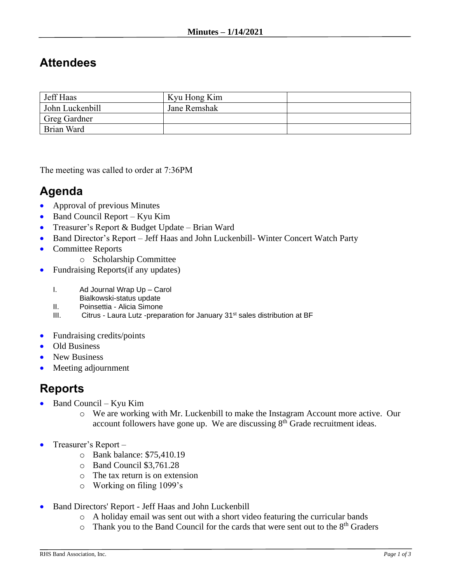## **Attendees**

| Jeff Haas           | Kyu Hong Kim |  |
|---------------------|--------------|--|
| John Luckenbill     | Jane Remshak |  |
| <b>Greg Gardner</b> |              |  |
| Brian Ward          |              |  |

The meeting was called to order at 7:36PM

## **Agenda**

- Approval of previous Minutes
- Band Council Report Kyu Kim
- Treasurer's Report & Budget Update Brian Ward
- Band Director's Report Jeff Haas and John Luckenbill- Winter Concert Watch Party
- Committee Reports
	- o Scholarship Committee
- Fundraising Reports (if any updates)
	- I. Ad Journal Wrap Up Carol
	- Bialkowski-status update
	- II. Poinsettia Alicia Simone
	- III. Citrus Laura Lutz -preparation for January 31<sup>st</sup> sales distribution at BF
- Fundraising credits/points
- Old Business
- New Business
- Meeting adjournment

## **Reports**

- Band Council Kyu Kim
	- o We are working with Mr. Luckenbill to make the Instagram Account more active. Our account followers have gone up. We are discussing  $8<sup>th</sup>$  Grade recruitment ideas.
- Treasurer's Report
	- o Bank balance: \$75,410.19
	- o Band Council \$3,761.28
	- o The tax return is on extension
	- o Working on filing 1099's
- Band Directors' Report Jeff Haas and John Luckenbill
	- o A holiday email was sent out with a short video featuring the curricular bands
	- $\circ$  Thank you to the Band Council for the cards that were sent out to the  $8<sup>th</sup>$  Graders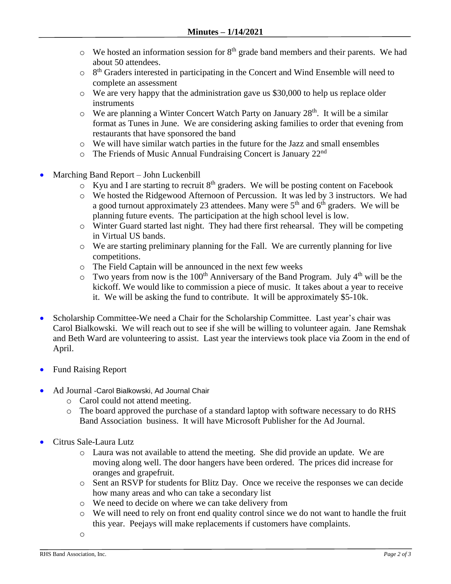- $\circ$  We hosted an information session for 8<sup>th</sup> grade band members and their parents. We had about 50 attendees.
- o 8<sup>th</sup> Graders interested in participating in the Concert and Wind Ensemble will need to complete an assessment
- o We are very happy that the administration gave us \$30,000 to help us replace older instruments
- $\circ$  We are planning a Winter Concert Watch Party on January 28<sup>th</sup>. It will be a similar format as Tunes in June. We are considering asking families to order that evening from restaurants that have sponsored the band
- o We will have similar watch parties in the future for the Jazz and small ensembles
- o The Friends of Music Annual Fundraising Concert is January 22nd
- Marching Band Report John Luckenbill
	- $\circ$  Kyu and I are starting to recruit 8<sup>th</sup> graders. We will be posting content on Facebook
	- o We hosted the Ridgewood Afternoon of Percussion. It was led by 3 instructors. We had a good turnout approximately 23 attendees. Many were  $5<sup>th</sup>$  and  $6<sup>th</sup>$  graders. We will be planning future events. The participation at the high school level is low.
	- o Winter Guard started last night. They had there first rehearsal. They will be competing in Virtual US bands.
	- o We are starting preliminary planning for the Fall. We are currently planning for live competitions.
	- o The Field Captain will be announced in the next few weeks
	- $\circ$  Two years from now is the 100<sup>th</sup> Anniversary of the Band Program. July 4<sup>th</sup> will be the kickoff. We would like to commission a piece of music. It takes about a year to receive it. We will be asking the fund to contribute. It will be approximately \$5-10k.
- Scholarship Committee-We need a Chair for the Scholarship Committee. Last year's chair was Carol Bialkowski. We will reach out to see if she will be willing to volunteer again. Jane Remshak and Beth Ward are volunteering to assist. Last year the interviews took place via Zoom in the end of April.
- Fund Raising Report
- Ad Journal -Carol Bialkowski, Ad Journal Chair
	- o Carol could not attend meeting.
	- o The board approved the purchase of a standard laptop with software necessary to do RHS Band Association business. It will have Microsoft Publisher for the Ad Journal.
- Citrus Sale-Laura Lutz
	- o Laura was not available to attend the meeting. She did provide an update. We are moving along well. The door hangers have been ordered. The prices did increase for oranges and grapefruit.
	- o Sent an RSVP for students for Blitz Day. Once we receive the responses we can decide how many areas and who can take a secondary list
	- o We need to decide on where we can take delivery from
	- o We will need to rely on front end quality control since we do not want to handle the fruit this year. Peejays will make replacements if customers have complaints.
	- o